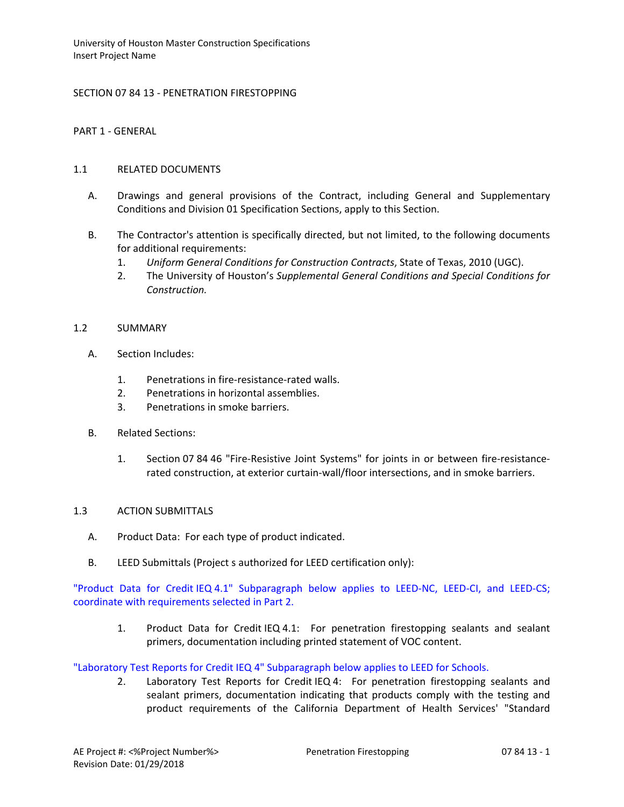# SECTION 07 84 13 - PENETRATION FIRESTOPPING

### PART 1 - GENERAL

### 1.1 RELATED DOCUMENTS

- A. Drawings and general provisions of the Contract, including General and Supplementary Conditions and Division 01 Specification Sections, apply to this Section.
- B. The Contractor's attention is specifically directed, but not limited, to the following documents for additional requirements:
	- 1. *Uniform General Conditions for Construction Contracts*, State of Texas, 2010 (UGC).
	- 2. The University of Houston's *Supplemental General Conditions and Special Conditions for Construction.*

#### 1.2 SUMMARY

- A. Section Includes:
	- 1. Penetrations in fire-resistance-rated walls.
	- 2. Penetrations in horizontal assemblies.
	- 3. Penetrations in smoke barriers.
- B. Related Sections:
	- 1. Section 07 84 46 "Fire-Resistive Joint Systems" for joints in or between fire-resistancerated construction, at exterior curtain-wall/floor intersections, and in smoke barriers.

#### 1.3 ACTION SUBMITTALS

- A. Product Data: For each type of product indicated.
- B. LEED Submittals (Project s authorized for LEED certification only):

"Product Data for Credit IEQ 4.1" Subparagraph below applies to LEED-NC, LEED-CI, and LEED-CS; coordinate with requirements selected in Part 2.

1. Product Data for Credit IEQ 4.1: For penetration firestopping sealants and sealant primers, documentation including printed statement of VOC content.

"Laboratory Test Reports for Credit IEQ 4" Subparagraph below applies to LEED for Schools.

2. Laboratory Test Reports for Credit IEQ 4: For penetration firestopping sealants and sealant primers, documentation indicating that products comply with the testing and product requirements of the California Department of Health Services' "Standard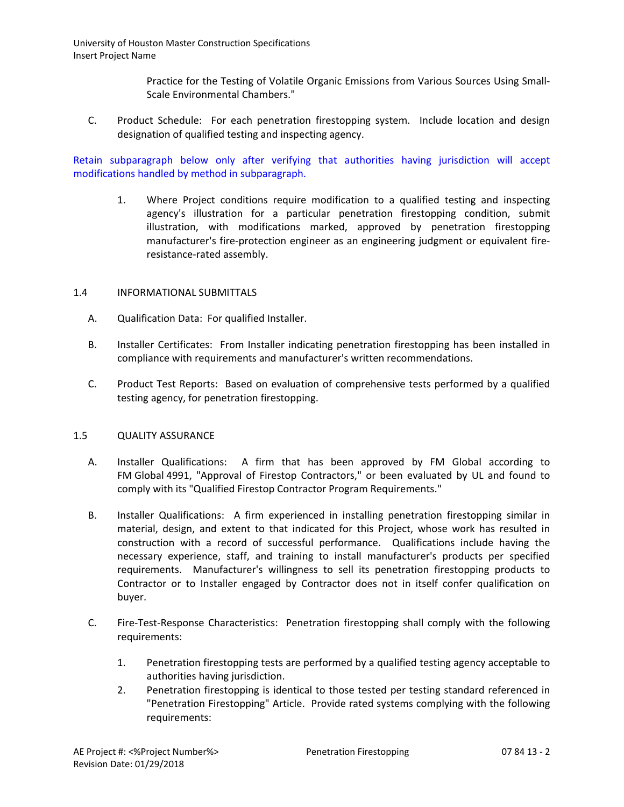> Practice for the Testing of Volatile Organic Emissions from Various Sources Using Small-Scale Environmental Chambers."

C. Product Schedule: For each penetration firestopping system. Include location and design designation of qualified testing and inspecting agency.

Retain subparagraph below only after verifying that authorities having jurisdiction will accept modifications handled by method in subparagraph.

1. Where Project conditions require modification to a qualified testing and inspecting agency's illustration for a particular penetration firestopping condition, submit illustration, with modifications marked, approved by penetration firestopping manufacturer's fire-protection engineer as an engineering judgment or equivalent fireresistance-rated assembly.

## 1.4 INFORMATIONAL SUBMITTALS

- A. Qualification Data: For qualified Installer.
- B. Installer Certificates: From Installer indicating penetration firestopping has been installed in compliance with requirements and manufacturer's written recommendations.
- C. Product Test Reports: Based on evaluation of comprehensive tests performed by a qualified testing agency, for penetration firestopping.

#### 1.5 QUALITY ASSURANCE

- A. Installer Qualifications: A firm that has been approved by FM Global according to FM Global 4991, "Approval of Firestop Contractors," or been evaluated by UL and found to comply with its "Qualified Firestop Contractor Program Requirements."
- B. Installer Qualifications: A firm experienced in installing penetration firestopping similar in material, design, and extent to that indicated for this Project, whose work has resulted in construction with a record of successful performance. Qualifications include having the necessary experience, staff, and training to install manufacturer's products per specified requirements. Manufacturer's willingness to sell its penetration firestopping products to Contractor or to Installer engaged by Contractor does not in itself confer qualification on buyer.
- C. Fire-Test-Response Characteristics: Penetration firestopping shall comply with the following requirements:
	- 1. Penetration firestopping tests are performed by a qualified testing agency acceptable to authorities having jurisdiction.
	- 2. Penetration firestopping is identical to those tested per testing standard referenced in "Penetration Firestopping" Article. Provide rated systems complying with the following requirements: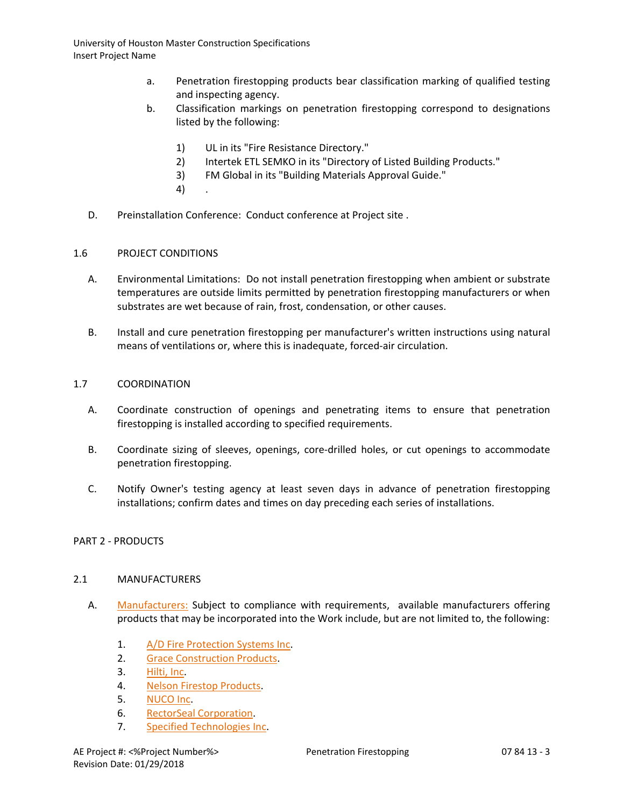- a. Penetration firestopping products bear classification marking of qualified testing and inspecting agency.
- b. Classification markings on penetration firestopping correspond to designations listed by the following:
	- 1) UL in its "Fire Resistance Directory."
	- 2) Intertek ETL SEMKO in its "Directory of Listed Building Products."
	- 3) FM Global in its "Building Materials Approval Guide."
	- 4) .
- D. Preinstallation Conference: Conduct conference at Project site .

## 1.6 PROJECT CONDITIONS

- A. Environmental Limitations: Do not install penetration firestopping when ambient or substrate temperatures are outside limits permitted by penetration firestopping manufacturers or when substrates are wet because of rain, frost, condensation, or other causes.
- B. Install and cure penetration firestopping per manufacturer's written instructions using natural means of ventilations or, where this is inadequate, forced-air circulation.

## 1.7 COORDINATION

- A. Coordinate construction of openings and penetrating items to ensure that penetration firestopping is installed according to specified requirements.
- B. Coordinate sizing of sleeves, openings, core-drilled holes, or cut openings to accommodate penetration firestopping.
- C. Notify Owner's testing agency at least seven days in advance of penetration firestopping installations; confirm dates and times on day preceding each series of installations.

# PART 2 - PRODUCTS

#### 2.1 MANUFACTURERS

- A. [Manufacturers:](http://www.specagent.com/LookUp/?ulid=5260&mf=04&src=wd) Subject to compliance with requirements, available manufacturers offering products that may be incorporated into the Work include, but are not limited to, the following:
	- 1. [A/D Fire Protection Systems Inc.](http://www.specagent.com/LookUp/?uid=123456801247&mf=04&src=wd)
	- 2. [Grace Construction Products.](http://www.specagent.com/LookUp/?uid=123456801248&mf=04&src=wd)
	- 3. [Hilti, Inc.](http://www.specagent.com/LookUp/?uid=123456801249&mf=04&src=wd)
	- 4. [Nelson Firestop Products.](http://www.specagent.com/LookUp/?uid=123456801251&mf=04&src=wd)
	- 5. [NUCO Inc.](http://www.specagent.com/LookUp/?uid=123456801252&mf=04&src=wd)
	- 6. [RectorSeal Corporation.](http://www.specagent.com/LookUp/?uid=123456801254&mf=04&src=wd)
	- 7. [Specified Technologies Inc.](http://www.specagent.com/LookUp/?uid=123456801255&mf=04&src=wd)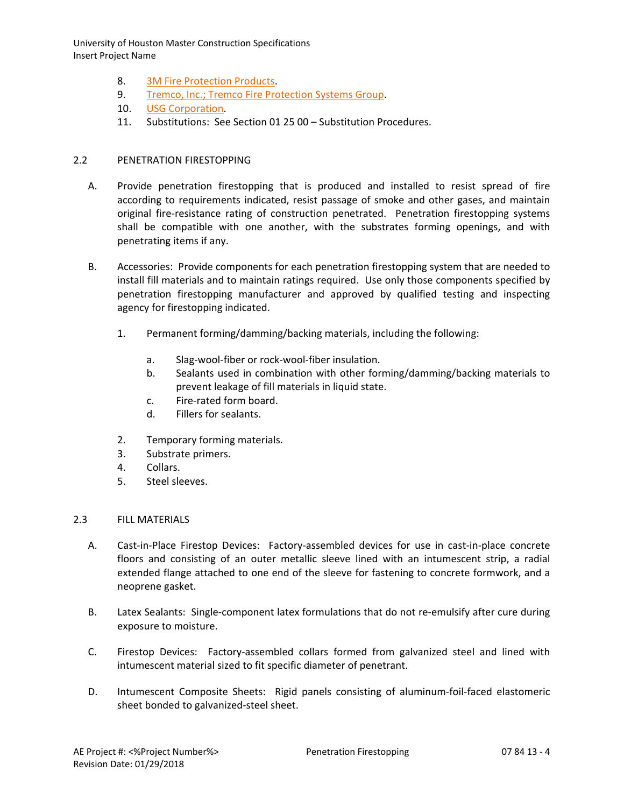- 8. [3M Fire Protection Products.](http://www.specagent.com/LookUp/?uid=123456801256&mf=04&src=wd)
- 9. [Tremco, Inc.; Tremco Fire Protection Systems Group.](http://www.specagent.com/LookUp/?uid=123456801257&mf=04&src=wd)
- 10. [USG Corporation.](http://www.specagent.com/LookUp/?uid=123456801258&mf=04&src=wd)
- 11. Substitutions: See Section 01 25 00 Substitution Procedures.

## 2.2 PENETRATION FIRESTOPPING

- A. Provide penetration firestopping that is produced and installed to resist spread of fire according to requirements indicated, resist passage of smoke and other gases, and maintain original fire-resistance rating of construction penetrated. Penetration firestopping systems shall be compatible with one another, with the substrates forming openings, and with penetrating items if any.
- B. Accessories: Provide components for each penetration firestopping system that are needed to install fill materials and to maintain ratings required. Use only those components specified by penetration firestopping manufacturer and approved by qualified testing and inspecting agency for firestopping indicated.
	- 1. Permanent forming/damming/backing materials, including the following:
		- a. Slag-wool-fiber or rock-wool-fiber insulation.
		- b. Sealants used in combination with other forming/damming/backing materials to prevent leakage of fill materials in liquid state.
		- c. Fire-rated form board.
		- d. Fillers for sealants.
	- 2. Temporary forming materials.
	- 3. Substrate primers.
	- 4. Collars.
	- 5. Steel sleeves.

#### 2.3 FILL MATERIALS

- A. Cast-in-Place Firestop Devices: Factory-assembled devices for use in cast-in-place concrete floors and consisting of an outer metallic sleeve lined with an intumescent strip, a radial extended flange attached to one end of the sleeve for fastening to concrete formwork, and a neoprene gasket.
- B. Latex Sealants: Single-component latex formulations that do not re-emulsify after cure during exposure to moisture.
- C. Firestop Devices: Factory-assembled collars formed from galvanized steel and lined with intumescent material sized to fit specific diameter of penetrant.
- D. Intumescent Composite Sheets: Rigid panels consisting of aluminum-foil-faced elastomeric sheet bonded to galvanized-steel sheet.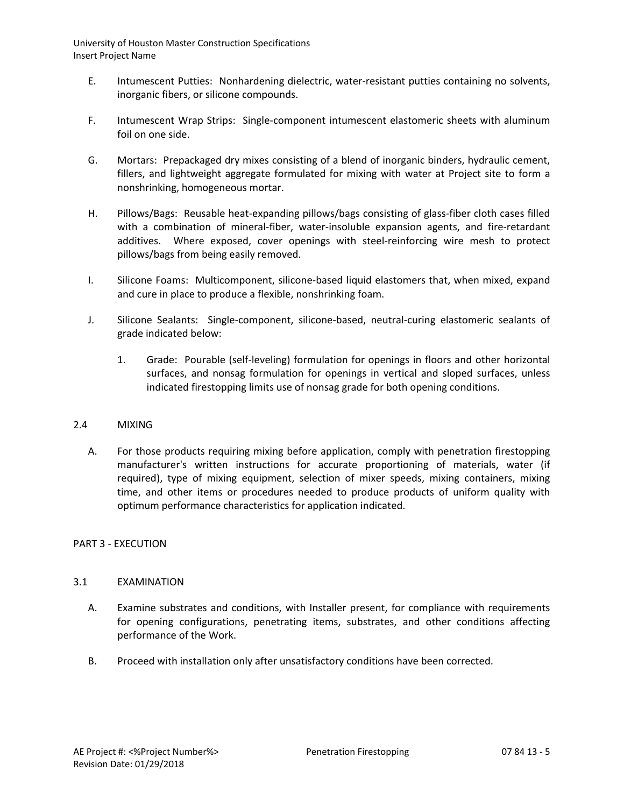- E. Intumescent Putties: Nonhardening dielectric, water-resistant putties containing no solvents, inorganic fibers, or silicone compounds.
- F. Intumescent Wrap Strips: Single-component intumescent elastomeric sheets with aluminum foil on one side.
- G. Mortars: Prepackaged dry mixes consisting of a blend of inorganic binders, hydraulic cement, fillers, and lightweight aggregate formulated for mixing with water at Project site to form a nonshrinking, homogeneous mortar.
- H. Pillows/Bags: Reusable heat-expanding pillows/bags consisting of glass-fiber cloth cases filled with a combination of mineral-fiber, water-insoluble expansion agents, and fire-retardant additives. Where exposed, cover openings with steel-reinforcing wire mesh to protect pillows/bags from being easily removed.
- I. Silicone Foams: Multicomponent, silicone-based liquid elastomers that, when mixed, expand and cure in place to produce a flexible, nonshrinking foam.
- J. Silicone Sealants: Single-component, silicone-based, neutral-curing elastomeric sealants of grade indicated below:
	- 1. Grade: Pourable (self-leveling) formulation for openings in floors and other horizontal surfaces, and nonsag formulation for openings in vertical and sloped surfaces, unless indicated firestopping limits use of nonsag grade for both opening conditions.

# 2.4 MIXING

A. For those products requiring mixing before application, comply with penetration firestopping manufacturer's written instructions for accurate proportioning of materials, water (if required), type of mixing equipment, selection of mixer speeds, mixing containers, mixing time, and other items or procedures needed to produce products of uniform quality with optimum performance characteristics for application indicated.

# PART 3 - EXECUTION

#### 3.1 EXAMINATION

- A. Examine substrates and conditions, with Installer present, for compliance with requirements for opening configurations, penetrating items, substrates, and other conditions affecting performance of the Work.
- B. Proceed with installation only after unsatisfactory conditions have been corrected.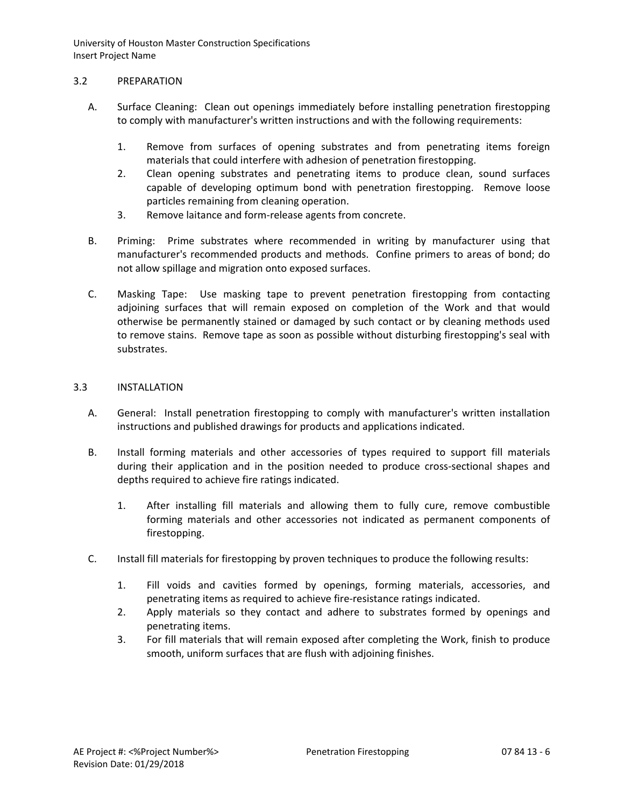## 3.2 PREPARATION

- A. Surface Cleaning: Clean out openings immediately before installing penetration firestopping to comply with manufacturer's written instructions and with the following requirements:
	- 1. Remove from surfaces of opening substrates and from penetrating items foreign materials that could interfere with adhesion of penetration firestopping.
	- 2. Clean opening substrates and penetrating items to produce clean, sound surfaces capable of developing optimum bond with penetration firestopping. Remove loose particles remaining from cleaning operation.
	- 3. Remove laitance and form-release agents from concrete.
- B. Priming: Prime substrates where recommended in writing by manufacturer using that manufacturer's recommended products and methods. Confine primers to areas of bond; do not allow spillage and migration onto exposed surfaces.
- C. Masking Tape: Use masking tape to prevent penetration firestopping from contacting adjoining surfaces that will remain exposed on completion of the Work and that would otherwise be permanently stained or damaged by such contact or by cleaning methods used to remove stains. Remove tape as soon as possible without disturbing firestopping's seal with substrates.

# 3.3 INSTALLATION

- A. General: Install penetration firestopping to comply with manufacturer's written installation instructions and published drawings for products and applications indicated.
- B. Install forming materials and other accessories of types required to support fill materials during their application and in the position needed to produce cross-sectional shapes and depths required to achieve fire ratings indicated.
	- 1. After installing fill materials and allowing them to fully cure, remove combustible forming materials and other accessories not indicated as permanent components of firestopping.
- C. Install fill materials for firestopping by proven techniques to produce the following results:
	- 1. Fill voids and cavities formed by openings, forming materials, accessories, and penetrating items as required to achieve fire-resistance ratings indicated.
	- 2. Apply materials so they contact and adhere to substrates formed by openings and penetrating items.
	- 3. For fill materials that will remain exposed after completing the Work, finish to produce smooth, uniform surfaces that are flush with adjoining finishes.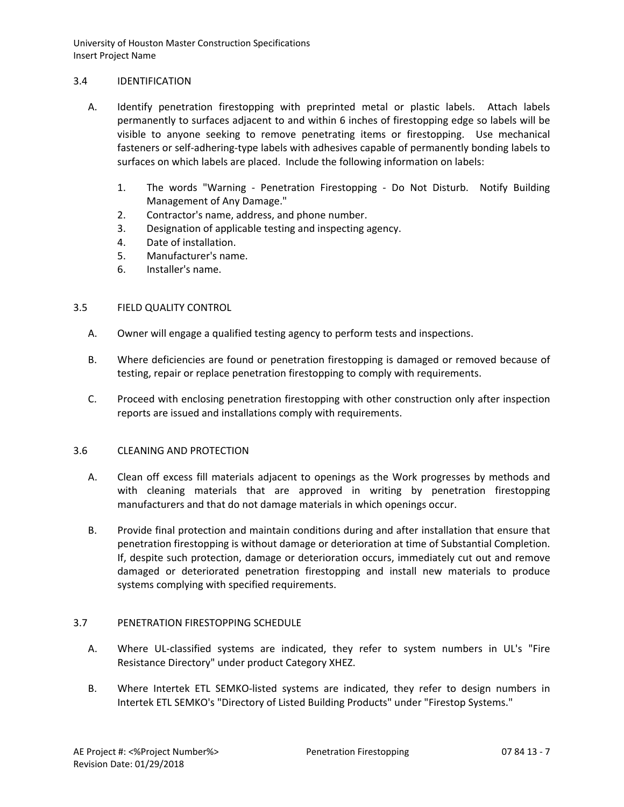## 3.4 IDENTIFICATION

- A. Identify penetration firestopping with preprinted metal or plastic labels. Attach labels permanently to surfaces adjacent to and within 6 inches of firestopping edge so labels will be visible to anyone seeking to remove penetrating items or firestopping. Use mechanical fasteners or self-adhering-type labels with adhesives capable of permanently bonding labels to surfaces on which labels are placed. Include the following information on labels:
	- 1. The words "Warning Penetration Firestopping Do Not Disturb. Notify Building Management of Any Damage."
	- 2. Contractor's name, address, and phone number.
	- 3. Designation of applicable testing and inspecting agency.
	- 4. Date of installation.
	- 5. Manufacturer's name.
	- 6. Installer's name.

# 3.5 FIELD QUALITY CONTROL

- A. Owner will engage a qualified testing agency to perform tests and inspections.
- B. Where deficiencies are found or penetration firestopping is damaged or removed because of testing, repair or replace penetration firestopping to comply with requirements.
- C. Proceed with enclosing penetration firestopping with other construction only after inspection reports are issued and installations comply with requirements.

#### 3.6 CLEANING AND PROTECTION

- A. Clean off excess fill materials adjacent to openings as the Work progresses by methods and with cleaning materials that are approved in writing by penetration firestopping manufacturers and that do not damage materials in which openings occur.
- B. Provide final protection and maintain conditions during and after installation that ensure that penetration firestopping is without damage or deterioration at time of Substantial Completion. If, despite such protection, damage or deterioration occurs, immediately cut out and remove damaged or deteriorated penetration firestopping and install new materials to produce systems complying with specified requirements.

# 3.7 PENETRATION FIRESTOPPING SCHEDULE

- A. Where UL-classified systems are indicated, they refer to system numbers in UL's "Fire Resistance Directory" under product Category XHEZ.
- B. Where Intertek ETL SEMKO-listed systems are indicated, they refer to design numbers in Intertek ETL SEMKO's "Directory of Listed Building Products" under "Firestop Systems."